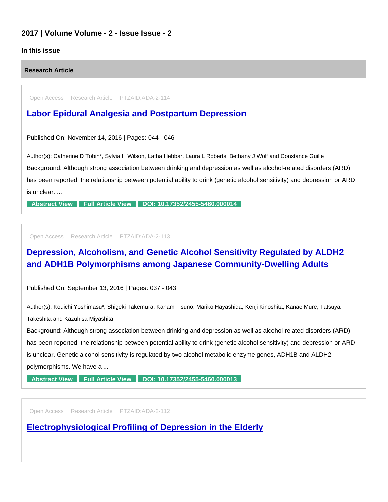## 2017 | Volume Volume - 2 - Issue Issue - 2

### In this issue

#### Research Article

Open Access Research Article PTZAID:ADA-2-114

## [Labor Epidural Analgesia and Postpartum Depression](https://www.peertechzpublications.com/articles/labor-epidural-analgesia-and-postpartum-depression)

Published On: November 14, 2016 | Pages: 044 - 046

Author(s): Catherine D Tobin\*, Sylvia H Wilson, Latha Hebbar, Laura L Roberts, Bethany J Wolf and Constance Guille

Background: Although strong association between drinking and depression as well as alcohol-related disorders (ARD) has been reported, the relationship between potential ability to drink (genetic alcohol sensitivity) and depression or ARD is unclear. ...

[Abstract View](https://www.peertechzpublications.com/abstracts/labor-epidural-analgesia-and-postpartum-depression) [Full Article View](https://www.peertechzpublications.com/articles/labor-epidural-analgesia-and-postpartum-depression) [DOI: 10.17352/2455-5460.000014](http://dx.doi.org/10.17352/2455-5460.000014)

Open Access Research Article PTZAID:ADA-2-113

# [Depression, Alcoholism, and Genetic Alcohol Sensitivity Regulated by ALDH2](https://www.peertechzpublications.com/articles/depression-alcoholism-and-genetic-alcohol-sensitivity-regulated-by-aldh2-and-adh1b-polymorphisms-among-japanese-community-dwelling-adults)  and ADH1B Polymorphisms among Japanese Community-Dwelling Adults

Published On: September 13, 2016 | Pages: 037 - 043

Author(s): Kouichi Yoshimasu\*, Shigeki Takemura, Kanami Tsuno, Mariko Hayashida, Kenji Kinoshita, Kanae Mure, Tatsuya Takeshita and Kazuhisa Miyashita

Background: Although strong association between drinking and depression as well as alcohol-related disorders (ARD) has been reported, the relationship between potential ability to drink (genetic alcohol sensitivity) and depression or ARD is unclear. Genetic alcohol sensitivity is regulated by two alcohol metabolic enzyme genes, ADH1B and ALDH2 polymorphisms. We have a ...

[Abstract View](https://www.peertechzpublications.com/abstracts/depression-alcoholism-and-genetic-alcohol-sensitivity-regulated-by-aldh2-and-adh1b-polymorphisms-among-japanese-community-dwelling-adults) [Full Article View](https://www.peertechzpublications.com/articles/depression-alcoholism-and-genetic-alcohol-sensitivity-regulated-by-aldh2-and-adh1b-polymorphisms-among-japanese-community-dwelling-adults) [DOI: 10.17352/2455-5460.000013](http://dx.doi.org/10.17352/2455-5460.000013)

Open Access Research Article PTZAID:ADA-2-112

[Electrophysiological Profiling of Depression in the Elderly](https://www.peertechzpublications.com/articles/electrophysiological-profiling-of-depression-in-the-elderly)